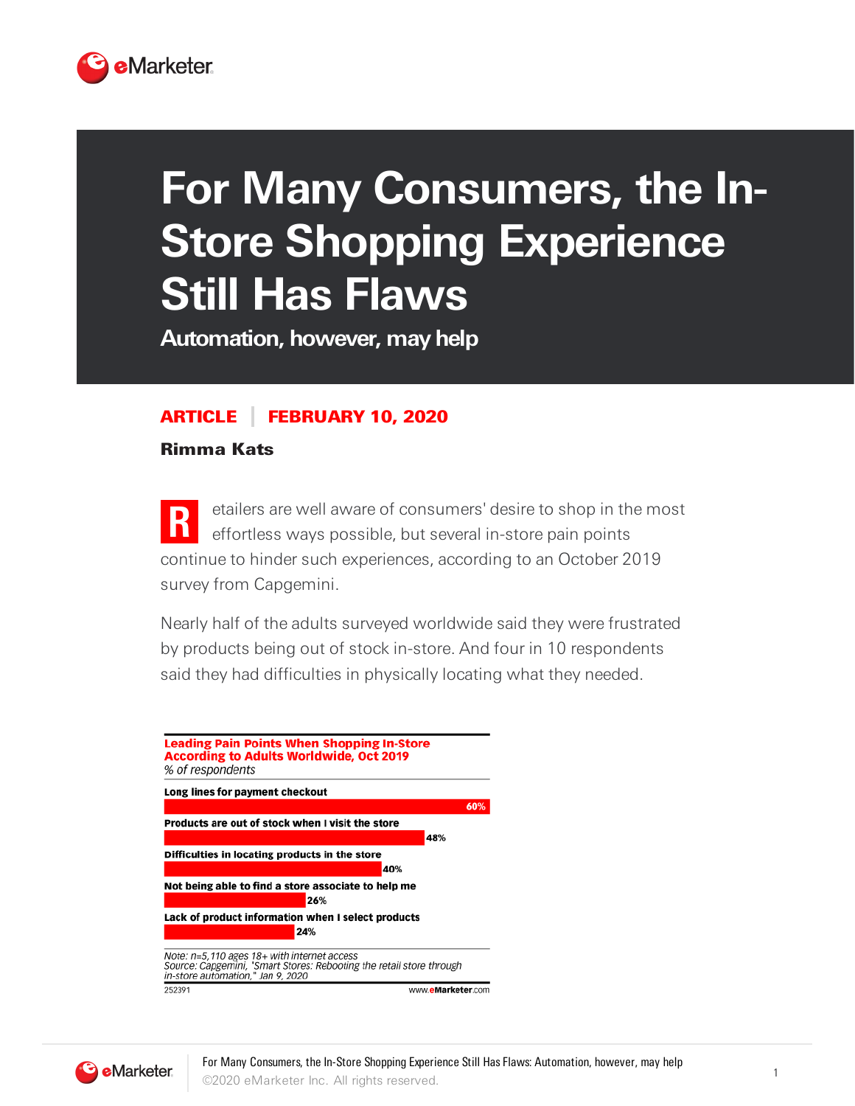

## **For Many Consumers, the In-Store Shopping Experience Still Has Flaws**

**Automation, however, may help**

## ARTICLE FEBRUARY 10, 2020

Rimma Kats

**R** etailers are well aware of consumers' desire to shop in the most effortless ways possible, but several in-store pain points continue to hinder such experiences, according to an October 2019 survey from Capgemini.

Nearly half of the adults surveyed worldwide said they were frustrated by products being out of stock in-store. And four in 10 respondents said they had difficulties in physically locating what they needed.



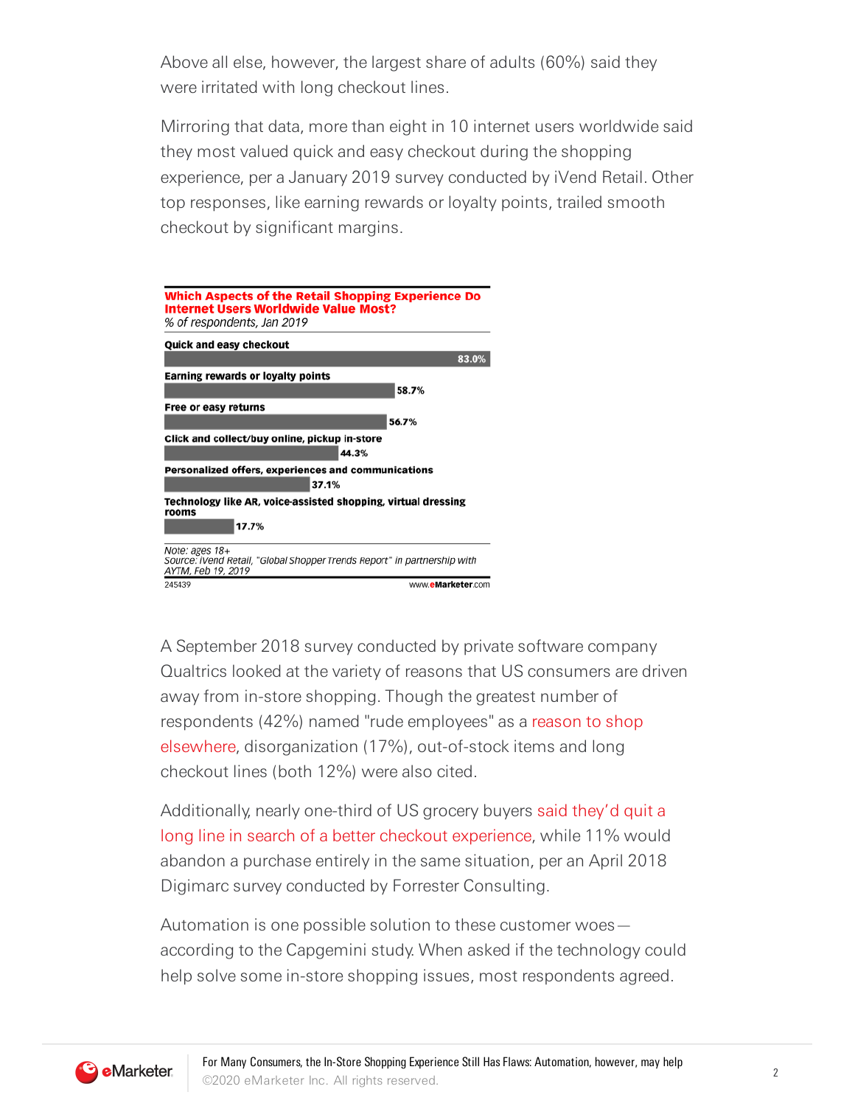Above all else, however, the largest share of adults (60%) said they were irritated with long checkout lines.

Mirroring that data, more than eight in 10 internet users worldwide said they most valued quick and easy checkout during the shopping experience, per a January 2019 survey conducted by iVend Retail. Other top responses, like earning rewards or loyalty points, trailed smooth checkout by significant margins.



A September 2018 survey conducted by private software company Qualtrics looked at the variety of reasons that US consumers are driven away from in-store shopping. Though the greatest number of respondents (42%) named "rude employees" as a reason to shop elsewhere, disorganization (17%), out-of-stock items and long checkout lines (both 12%) were also cited.

Additionally, nearly one-third of US grocery buyers said they'd quit a long line in search of a better checkout experience, while 11% would abandon a purchase entirely in the same situation, per an April 2018 Digimarc survey conducted by Forrester Consulting.

Automation is one possible solution to these customer woes according to the Capgemini study. When asked if the technology could help solve some in-store shopping issues, most respondents agreed.